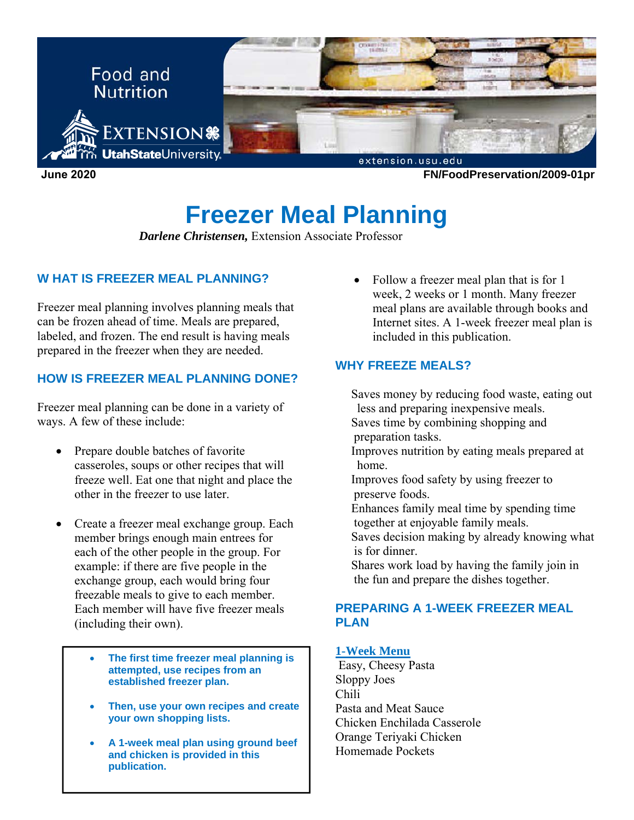

# **Freezer Meal Planning**

*Darlene Christensen,* Extension Associate Professor

# **W HAT IS FREEZER MEAL PLANNING?**

Freezer meal planning involves planning meals that can be frozen ahead of time. Meals are prepared, labeled, and frozen. The end result is having meals prepared in the freezer when they are needed.

# **HOW IS FREEZER MEAL PLANNING DONE?**

Freezer meal planning can be done in a variety of ways. A few of these include:

- Prepare double batches of favorite casseroles, soups or other recipes that will freeze well. Eat one that night and place the other in the freezer to use later.
- Create a freezer meal exchange group. Each member brings enough main entrees for each of the other people in the group. For example: if there are five people in the exchange group, each would bring four freezable meals to give to each member. Each member will have five freezer meals (including their own).
	- **The first time freezer meal planning is attempted, use recipes from an established freezer plan.**
	- **Then, use your own recipes and create your own shopping lists.**
	- **A 1-week meal plan using ground beef and chicken is provided in this publication.**

• Follow a freezer meal plan that is for 1 week, 2 weeks or 1 month. Many freezer meal plans are available through books and Internet sites. A 1-week freezer meal plan is included in this publication.

# **WHY FREEZE MEALS?**

 Saves money by reducing food waste, eating out less and preparing inexpensive meals.

 Saves time by combining shopping and preparation tasks.

 Improves nutrition by eating meals prepared at home.

 Improves food safety by using freezer to preserve foods.

 Enhances family meal time by spending time together at enjoyable family meals.

 Saves decision making by already knowing what is for dinner.

 Shares work load by having the family join in the fun and prepare the dishes together.

### **PREPARING A 1-WEEK FREEZER MEAL PLAN**

### **1-Week Menu**

 Easy, Cheesy Pasta Sloppy Joes Chili Pasta and Meat Sauce Chicken Enchilada Casserole Orange Teriyaki Chicken Homemade Pockets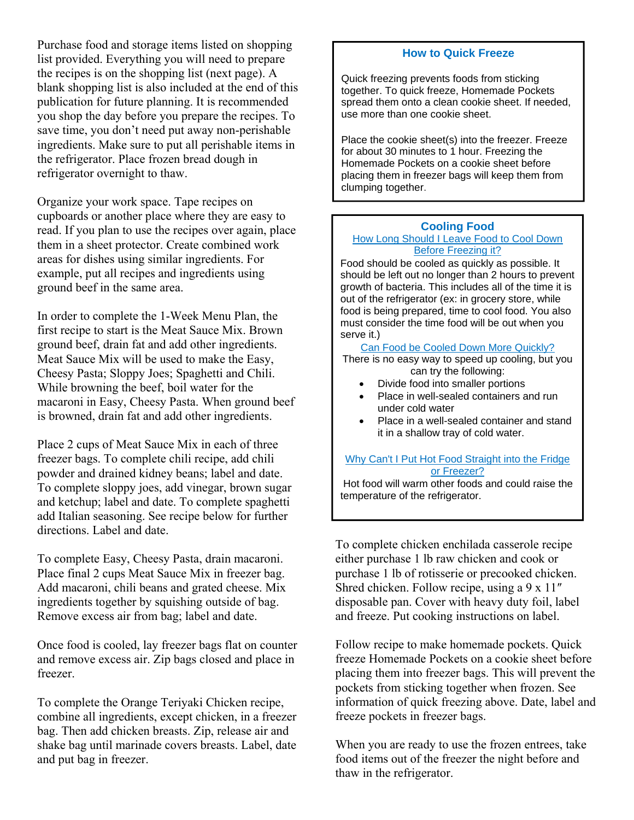Purchase food and storage items listed on shopping list provided. Everything you will need to prepare the recipes is on the shopping list (next page). A blank shopping list is also included at the end of this publication for future planning. It is recommended you shop the day before you prepare the recipes. To save time, you don't need put away non-perishable ingredients. Make sure to put all perishable items in the refrigerator. Place frozen bread dough in refrigerator overnight to thaw.

Organize your work space. Tape recipes on cupboards or another place where they are easy to read. If you plan to use the recipes over again, place them in a sheet protector. Create combined work areas for dishes using similar ingredients. For example, put all recipes and ingredients using ground beef in the same area.

In order to complete the 1-Week Menu Plan, the first recipe to start is the Meat Sauce Mix. Brown ground beef, drain fat and add other ingredients. Meat Sauce Mix will be used to make the Easy, Cheesy Pasta; Sloppy Joes; Spaghetti and Chili. While browning the beef, boil water for the macaroni in Easy, Cheesy Pasta. When ground beef is browned, drain fat and add other ingredients.

Place 2 cups of Meat Sauce Mix in each of three freezer bags. To complete chili recipe, add chili powder and drained kidney beans; label and date. To complete sloppy joes, add vinegar, brown sugar and ketchup; label and date. To complete spaghetti add Italian seasoning. See recipe below for further directions. Label and date.

To complete Easy, Cheesy Pasta, drain macaroni. Place final 2 cups Meat Sauce Mix in freezer bag. Add macaroni, chili beans and grated cheese. Mix ingredients together by squishing outside of bag. Remove excess air from bag; label and date.

Once food is cooled, lay freezer bags flat on counter and remove excess air. Zip bags closed and place in freezer.

To complete the Orange Teriyaki Chicken recipe, combine all ingredients, except chicken, in a freezer bag. Then add chicken breasts. Zip, release air and shake bag until marinade covers breasts. Label, date and put bag in freezer.

### **How to Quick Freeze**

Quick freezing prevents foods from sticking together. To quick freeze, Homemade Pockets spread them onto a clean cookie sheet. If needed, use more than one cookie sheet.

Place the cookie sheet(s) into the freezer. Freeze for about 30 minutes to 1 hour. Freezing the Homemade Pockets on a cookie sheet before placing them in freezer bags will keep them from clumping together.

### **Cooling Food**

#### How Long Should I Leave Food to Cool Down Before Freezing it?

Food should be cooled as quickly as possible. It should be left out no longer than 2 hours to prevent growth of bacteria. This includes all of the time it is out of the refrigerator (ex: in grocery store, while food is being prepared, time to cool food. You also must consider the time food will be out when you serve it.)

#### Can Food be Cooled Down More Quickly?

There is no easy way to speed up cooling, but you can try the following:

- Divide food into smaller portions
- Place in well-sealed containers and run under cold water
- Place in a well-sealed container and stand it in a shallow tray of cold water.

Why Can't I Put Hot Food Straight into the Fridge or Freezer?

 Hot food will warm other foods and could raise the temperature of the refrigerator.

To complete chicken enchilada casserole recipe either purchase 1 lb raw chicken and cook or purchase 1 lb of rotisserie or precooked chicken. Shred chicken. Follow recipe, using a 9 x 11" disposable pan. Cover with heavy duty foil, label and freeze. Put cooking instructions on label.

Follow recipe to make homemade pockets. Quick freeze Homemade Pockets on a cookie sheet before placing them into freezer bags. This will prevent the pockets from sticking together when frozen. See information of quick freezing above. Date, label and freeze pockets in freezer bags.

When you are ready to use the frozen entrees, take food items out of the freezer the night before and thaw in the refrigerator.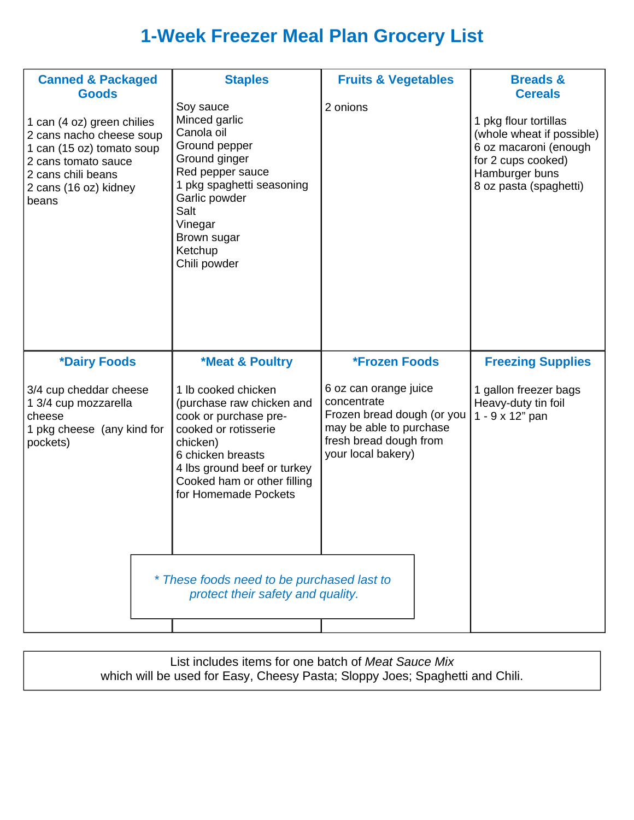# **1-Week Freezer Meal Plan Grocery List**

| <b>Canned &amp; Packaged</b><br><b>Goods</b><br>1 can (4 oz) green chilies<br>2 cans nacho cheese soup<br>1 can (15 oz) tomato soup<br>2 cans tomato sauce<br>2 cans chili beans<br>2 cans (16 oz) kidney<br>beans | <b>Staples</b><br>Soy sauce<br>Minced garlic<br>Canola oil<br>Ground pepper<br>Ground ginger<br>Red pepper sauce<br>1 pkg spaghetti seasoning<br>Garlic powder<br>Salt<br>Vinegar<br>Brown sugar<br>Ketchup<br>Chili powder                                                                                                               | <b>Fruits &amp; Vegetables</b><br>2 onions                                                                                                                     | <b>Breads &amp;</b><br><b>Cereals</b><br>1 pkg flour tortillas<br>(whole wheat if possible)<br>6 oz macaroni (enough<br>for 2 cups cooked)<br>Hamburger buns<br>8 oz pasta (spaghetti) |
|--------------------------------------------------------------------------------------------------------------------------------------------------------------------------------------------------------------------|-------------------------------------------------------------------------------------------------------------------------------------------------------------------------------------------------------------------------------------------------------------------------------------------------------------------------------------------|----------------------------------------------------------------------------------------------------------------------------------------------------------------|----------------------------------------------------------------------------------------------------------------------------------------------------------------------------------------|
| *Dairy Foods<br>3/4 cup cheddar cheese<br>1 3/4 cup mozzarella<br>cheese<br>1 pkg cheese (any kind for<br>pockets)                                                                                                 | <b>*Meat &amp; Poultry</b><br>1 lb cooked chicken<br>(purchase raw chicken and<br>cook or purchase pre-<br>cooked or rotisserie<br>chicken)<br>6 chicken breasts<br>4 lbs ground beef or turkey<br>Cooked ham or other filling<br>for Homemade Pockets<br>* These foods need to be purchased last to<br>protect their safety and quality. | *Frozen Foods<br>6 oz can orange juice<br>concentrate<br>Frozen bread dough (or you<br>may be able to purchase<br>fresh bread dough from<br>your local bakery) | <b>Freezing Supplies</b><br>1 gallon freezer bags<br>Heavy-duty tin foil<br>1 - 9 x 12" pan                                                                                            |

List includes items for one batch of *Meat Sauce Mix*  which will be used for Easy, Cheesy Pasta; Sloppy Joes; Spaghetti and Chili.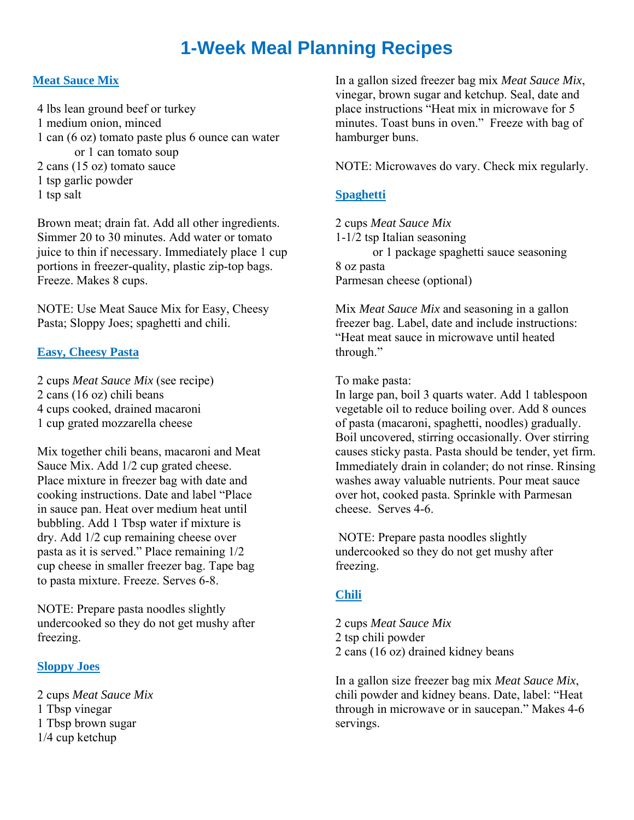# **1-Week Meal Planning Recipes**

### **Meat Sauce Mix**

4 lbs lean ground beef or turkey 1 medium onion, minced 1 can (6 oz) tomato paste plus 6 ounce can water or 1 can tomato soup 2 cans (15 oz) tomato sauce 1 tsp garlic powder 1 tsp salt

Brown meat; drain fat. Add all other ingredients. Simmer 20 to 30 minutes. Add water or tomato juice to thin if necessary. Immediately place 1 cup portions in freezer-quality, plastic zip-top bags. Freeze. Makes 8 cups.

NOTE: Use Meat Sauce Mix for Easy, Cheesy Pasta; Sloppy Joes; spaghetti and chili.

### **Easy, Cheesy Pasta**

2 cups *Meat Sauce Mix* (see recipe) 2 cans (16 oz) chili beans 4 cups cooked, drained macaroni 1 cup grated mozzarella cheese

Mix together chili beans, macaroni and Meat Sauce Mix. Add 1/2 cup grated cheese. Place mixture in freezer bag with date and cooking instructions. Date and label "Place in sauce pan. Heat over medium heat until bubbling. Add 1 Tbsp water if mixture is dry. Add 1/2 cup remaining cheese over pasta as it is served." Place remaining 1/2 cup cheese in smaller freezer bag. Tape bag to pasta mixture. Freeze. Serves 6-8.

NOTE: Prepare pasta noodles slightly undercooked so they do not get mushy after freezing.

### **Sloppy Joes**

2 cups *Meat Sauce Mix*  1 Tbsp vinegar 1 Tbsp brown sugar 1/4 cup ketchup

In a gallon sized freezer bag mix *Meat Sauce Mix*, vinegar, brown sugar and ketchup. Seal, date and place instructions "Heat mix in microwave for 5 minutes. Toast buns in oven." Freeze with bag of hamburger buns.

NOTE: Microwaves do vary. Check mix regularly.

### **Spaghetti**

2 cups *Meat Sauce Mix*  1-1/2 tsp Italian seasoning or 1 package spaghetti sauce seasoning 8 oz pasta Parmesan cheese (optional)

Mix *Meat Sauce Mix* and seasoning in a gallon freezer bag. Label, date and include instructions: "Heat meat sauce in microwave until heated through."

To make pasta:

In large pan, boil 3 quarts water. Add 1 tablespoon vegetable oil to reduce boiling over. Add 8 ounces of pasta (macaroni, spaghetti, noodles) gradually. Boil uncovered, stirring occasionally. Over stirring causes sticky pasta. Pasta should be tender, yet firm. Immediately drain in colander; do not rinse. Rinsing washes away valuable nutrients. Pour meat sauce over hot, cooked pasta. Sprinkle with Parmesan cheese. Serves 4-6.

 NOTE: Prepare pasta noodles slightly undercooked so they do not get mushy after freezing.

### **Chili**

2 cups *Meat Sauce Mix* 2 tsp chili powder 2 cans (16 oz) drained kidney beans

In a gallon size freezer bag mix *Meat Sauce Mix*, chili powder and kidney beans. Date, label: "Heat through in microwave or in saucepan." Makes 4-6 servings.